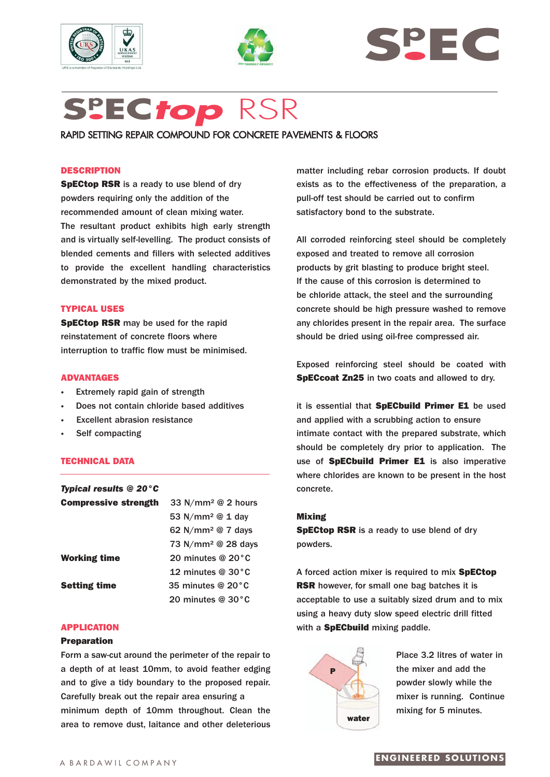





# **Sp EC***top* RSR

RAPID SETTING REPAIR COMPOUND FOR CONCRETE PAVEMENTS & FLOORS

## **DESCRIPTION**

**SpECtop RSR** is a ready to use blend of dry powders requiring only the addition of the recommended amount of clean mixing water. The resultant product exhibits high early strength and is virtually self-levelling. The product consists of blended cements and fillers with selected additives to provide the excellent handling characteristics demonstrated by the mixed product.

## **TYPICAL USES**

**SpECtop RSR** may be used for the rapid reinstatement of concrete floors where interruption to traffic flow must be minimised.

## **ADVANTAGES**

- **Extremely rapid gain of strength**
- **·** Does not contain chloride based additives
- **Excellent abrasion resistance**
- **·** Self compacting

## **TECHNICAL DATA**

| <b>Typical results @ 20 °C</b> |                                 |
|--------------------------------|---------------------------------|
| <b>Compressive strength</b>    | 33 N/mm <sup>2</sup> @ 2 hours  |
|                                | 53 $N/mm^2 \& 1$ day            |
|                                | 62 N/mm <sup>2</sup> $@$ 7 days |
|                                | 73 N/mm <sup>2</sup> @ 28 days  |
| <b>Working time</b>            | 20 minutes @ $20^{\circ}$ C     |
|                                | 12 minutes $@30°C$              |
| <b>Setting time</b>            | 35 minutes @ $20^{\circ}$ C     |
|                                | 20 minutes $@30°C$              |

#### **APPLICATION**

### **Preparation**

Form a saw-cut around the perimeter of the repair to a depth of at least 10mm, to avoid feather edging and to give a tidy boundary to the proposed repair. Carefully break out the repair area ensuring a minimum depth of 10mm throughout. Clean the area to remove dust, laitance and other deleterious matter including rebar corrosion products. If doubt exists as to the effectiveness of the preparation, a pull-off test should be carried out to confirm satisfactory bond to the substrate.

All corroded reinforcing steel should be completely exposed and treated to remove all corrosion products by grit blasting to produce bright steel. If the cause of this corrosion is determined to be chloride attack, the steel and the surrounding concrete should be high pressure washed to remove any chlorides present in the repair area. The surface should be dried using oil-free compressed air.

Exposed reinforcing steel should be coated with **SpECcoat Zn25** in two coats and allowed to dry.

it is essential that **SpECbuild Primer E1** be used and applied with a scrubbing action to ensure intimate contact with the prepared substrate, which should be completely dry prior to application. The use of **SpECbuild Primer E1** is also imperative where chlorides are known to be present in the host concrete.

#### **Mixing**

**SpECtop RSR** is a ready to use blend of dry powders.

A forced action mixer is required to mix **SpECtop RSR** however, for small one bag batches it is acceptable to use a suitably sized drum and to mix using a heavy duty slow speed electric drill fitted with a **SpECbuild** mixing paddle.



Place 3.2 litres of water in the mixer and add the powder slowly while the mixer is running. Continue mixing for 5 minutes.

# **ENGINEERED SOLUTIONS**